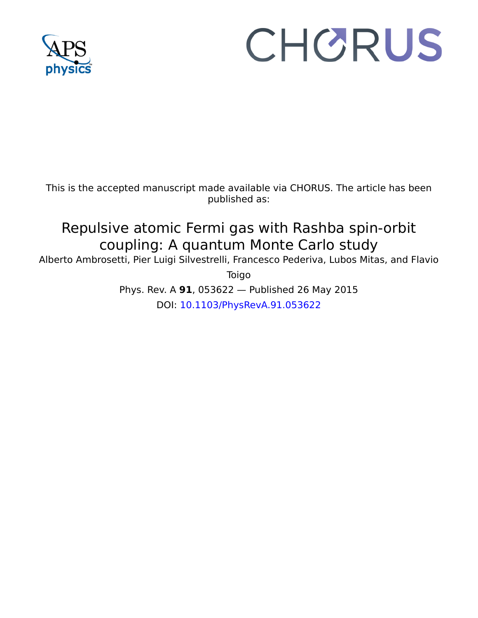

# CHORUS

This is the accepted manuscript made available via CHORUS. The article has been published as:

## Repulsive atomic Fermi gas with Rashba spin-orbit coupling: A quantum Monte Carlo study

Alberto Ambrosetti, Pier Luigi Silvestrelli, Francesco Pederiva, Lubos Mitas, and Flavio

Toigo

Phys. Rev. A **91**, 053622 — Published 26 May 2015 DOI: [10.1103/PhysRevA.91.053622](http://dx.doi.org/10.1103/PhysRevA.91.053622)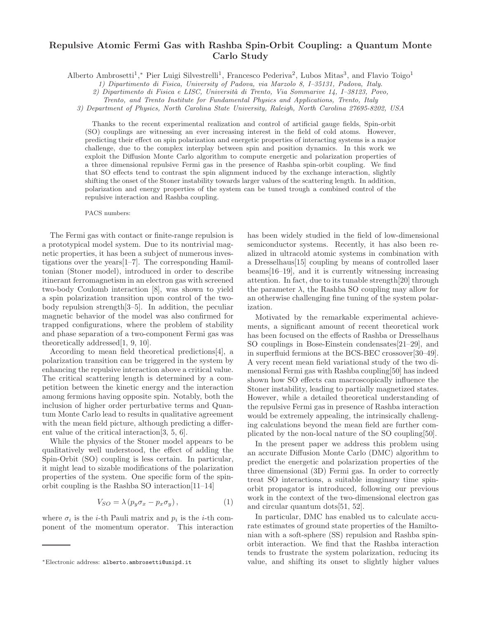### Repulsive Atomic Fermi Gas with Rashba Spin-Orbit Coupling: a Quantum Monte Carlo Study

Alberto Ambrosetti<sup>1</sup>,\* Pier Luigi Silvestrelli<sup>1</sup>, Francesco Pederiva<sup>2</sup>, Lubos Mitas<sup>3</sup>, and Flavio Toigo<sup>1</sup>

1) Dipartimento di Fisica, University of Padova, via Marzolo 8, I–35131, Padova, Italy.

2) Dipartimento di Fisica e LISC, Universit`a di Trento, Via Sommarive 14, I–38123, Povo,

Trento, and Trento Institute for Fundamental Physics and Applications, Trento, Italy

3) Department of Physics, North Carolina State University, Raleigh, North Carolina 27695-8202, USA

Thanks to the recent experimental realization and control of artificial gauge fields, Spin-orbit (SO) couplings are witnessing an ever increasing interest in the field of cold atoms. However, predicting their effect on spin polarization and energetic properties of interacting systems is a major challenge, due to the complex interplay between spin and position dynamics. In this work we exploit the Diffusion Monte Carlo algorithm to compute energetic and polarization properties of a three dimensional repulsive Fermi gas in the presence of Rashba spin-orbit coupling. We find that SO effects tend to contrast the spin alignment induced by the exchange interaction, slightly shifting the onset of the Stoner instability towards larger values of the scattering length. In addition, polarization and energy properties of the system can be tuned trough a combined control of the repulsive interaction and Rashba coupling.

PACS numbers:

The Fermi gas with contact or finite-range repulsion is a prototypical model system. Due to its nontrivial magnetic properties, it has been a subject of numerous investigations over the years[1–7]. The corresponding Hamiltonian (Stoner model), introduced in order to describe itinerant ferromagnetism in an electron gas with screened two-body Coulomb interaction [8], was shown to yield a spin polarization transition upon control of the twobody repulsion strength[3–5]. In addition, the peculiar magnetic behavior of the model was also confirmed for trapped configurations, where the problem of stability and phase separation of a two-component Fermi gas was theoretically addressed[1, 9, 10].

According to mean field theoretical predictions[4], a polarization transition can be triggered in the system by enhancing the repulsive interaction above a critical value. The critical scattering length is determined by a competition between the kinetic energy and the interaction among fermions having opposite spin. Notably, both the inclusion of higher order perturbative terms and Quantum Monte Carlo lead to results in qualitative agreement with the mean field picture, although predicting a different value of the critical interaction[3, 5, 6].

While the physics of the Stoner model appears to be qualitatively well understood, the effect of adding the Spin-Orbit (SO) coupling is less certain. In particular, it might lead to sizable modifications of the polarization properties of the system. One specific form of the spinorbit coupling is the Rashba SO interaction[11–14]

$$
V_{SO} = \lambda (p_y \sigma_x - p_x \sigma_y), \qquad (1)
$$

where  $\sigma_i$  is the *i*-th Pauli matrix and  $p_i$  is the *i*-th component of the momentum operator. This interaction has been widely studied in the field of low-dimensional semiconductor systems. Recently, it has also been realized in ultracold atomic systems in combination with a Dresselhaus[15] coupling by means of controlled laser beams[16–19], and it is currently witnessing increasing attention. In fact, due to its tunable strength[20] through the parameter  $\lambda$ , the Rashba SO coupling may allow for an otherwise challenging fine tuning of the system polarization.

Motivated by the remarkable experimental achievements, a significant amount of recent theoretical work has been focused on the effects of Rashba or Dresselhaus SO couplings in Bose-Einstein condensates[21–29], and in superfluid fermions at the BCS-BEC crossover[30–49]. A very recent mean field variational study of the two dimensional Fermi gas with Rashba coupling[50] has indeed shown how SO effects can macroscopically influence the Stoner instability, leading to partially magnetized states. However, while a detailed theoretical understanding of the repulsive Fermi gas in presence of Rashba interaction would be extremely appealing, the intrinsically challenging calculations beyond the mean field are further complicated by the non-local nature of the SO coupling[50].

In the present paper we address this problem using an accurate Diffusion Monte Carlo (DMC) algorithm to predict the energetic and polarization properties of the three dimensional (3D) Fermi gas. In order to correctly treat SO interactions, a suitable imaginary time spinorbit propagator is introduced, following our previous work in the context of the two-dimensional electron gas and circular quantum dots[51, 52].

In particular, DMC has enabled us to calculate accurate estimates of ground state properties of the Hamiltonian with a soft-sphere (SS) repulsion and Rashba spinorbit interaction. We find that the Rashba interaction tends to frustrate the system polarization, reducing its value, and shifting its onset to slightly higher values

<sup>∗</sup>Electronic address: alberto.ambrosetti@unipd.it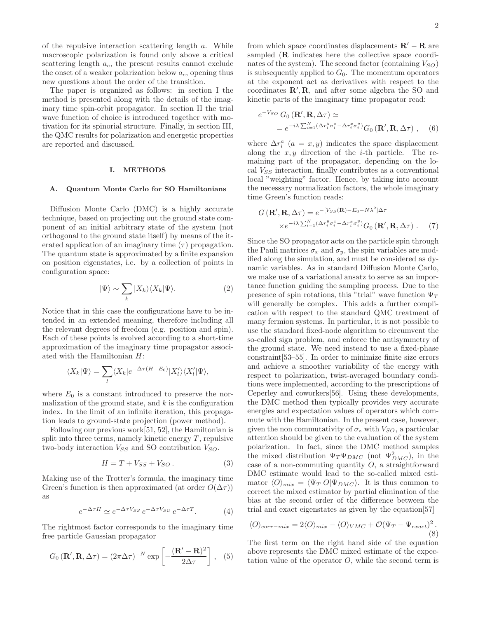of the repulsive interaction scattering length a. While macroscopic polarization is found only above a critical scattering length  $a_c$ , the present results cannot exclude the onset of a weaker polarization below  $a_c$ , opening thus new questions about the order of the transition.

The paper is organized as follows: in section I the method is presented along with the details of the imaginary time spin-orbit propagator. In section II the trial wave function of choice is introduced together with motivation for its spinorial structure. Finally, in section III, the QMC results for polarization and energetic properties are reported and discussed.

#### I. METHODS

#### A. Quantum Monte Carlo for SO Hamiltonians

Diffusion Monte Carlo (DMC) is a highly accurate technique, based on projecting out the ground state component of an initial arbitrary state of the system (not orthogonal to the ground state itself) by means of the iterated application of an imaginary time  $(\tau)$  propagation. The quantum state is approximated by a finite expansion on position eigenstates, i.e. by a collection of points in configuration space:

$$
|\Psi\rangle \sim \sum_{k} |X_{k}\rangle \langle X_{k}|\Psi\rangle. \tag{2}
$$

Notice that in this case the configurations have to be intended in an extended meaning, therefore including all the relevant degrees of freedom (e.g. position and spin). Each of these points is evolved according to a short-time approximation of the imaginary time propagator associated with the Hamiltonian H:

$$
\langle X_k | \Psi \rangle = \sum_l \langle X_k | e^{-\Delta \tau (H - E_0)} | X_l' \rangle \langle X_l' | \Psi \rangle,
$$

where  $E_0$  is a constant introduced to preserve the normalization of the ground state, and  $k$  is the configuration index. In the limit of an infinite iteration, this propagation leads to ground-state projection (power method).

Following our previous work[51, 52], the Hamiltonian is split into three terms, namely kinetic energy  $T$ , repulsive two-body interaction  $V_{SS}$  and SO contribution  $V_{SO}$ .

$$
H = T + V_{SS} + V_{SO}.
$$
 (3)

Making use of the Trotter's formula, the imaginary time Green's function is then approximated (at order  $O(\Delta \tau)$ ) as

$$
e^{-\Delta \tau H} \simeq e^{-\Delta \tau V_{SS}} e^{-\Delta \tau V_{SO}} e^{-\Delta \tau T}.
$$
 (4)

The rightmost factor corresponds to the imaginary time free particle Gaussian propagator

$$
G_0(\mathbf{R}', \mathbf{R}, \Delta \tau) = (2\pi \Delta \tau)^{-N} \exp\left[-\frac{(\mathbf{R}' - \mathbf{R})^2}{2\Delta \tau}\right], \quad (5)
$$

from which space coordinates displacements  $\mathbf{R}' - \mathbf{R}$  are sampled (R indicates here the collective space coordinates of the system). The second factor (containing  $V_{SO}$ ) is subsequently applied to  $G_0$ . The momentum operators at the exponent act as derivatives with respect to the coordinates  $\mathbb{R}', \mathbb{R}$ , and after some algebra the SO and kinetic parts of the imaginary time propagator read:

$$
e^{-V_{SO}} G_0(\mathbf{R}', \mathbf{R}, \Delta \tau) \simeq
$$
  
= 
$$
e^{-i\lambda \sum_{i=1}^N (\Delta r_i^y \sigma_i^x - \Delta r_i^x \sigma_i^y)} G_0(\mathbf{R}', \mathbf{R}, \Delta \tau) , \quad (6)
$$

where  $\Delta r_i^a$   $(a = x, y)$  indicates the space displacement along the  $x, y$  direction of the *i*-th particle. The remaining part of the propagator, depending on the local  $V_{SS}$  interaction, finally contributes as a conventional local "weighting" factor. Hence, by taking into account the necessary normalization factors, the whole imaginary time Green's function reads:

$$
G(\mathbf{R}', \mathbf{R}, \Delta \tau) = e^{-[V_{SS}(\mathbf{R}) - E_0 - N\lambda^2] \Delta \tau}
$$

$$
\times e^{-i\lambda \sum_{i=1}^{N} (\Delta r_i^y \sigma_i^x - \Delta r_i^x \sigma_i^y)} G_0(\mathbf{R}', \mathbf{R}, \Delta \tau) . \tag{7}
$$

Since the SO propagator acts on the particle spin through the Pauli matrices  $\sigma_x$  and  $\sigma_y$ , the spin variables are modified along the simulation, and must be considered as dynamic variables. As in standard Diffusion Monte Carlo, we make use of a variational ansatz to serve as an importance function guiding the sampling process. Due to the presence of spin rotations, this "trial" wave function  $\Psi_T$ will generally be complex. This adds a further complication with respect to the standard QMC treatment of many fermion systems. In particular, it is not possible to use the standard fixed-node algorithm to circumvent the so-called sign problem, and enforce the antisymmetry of the ground state. We need instead to use a fixed-phase constraint[53–55]. In order to minimize finite size errors and achieve a smoother variability of the energy with respect to polarization, twist-averaged boundary conditions were implemented, according to the prescriptions of Ceperley and coworkers[56]. Using these developments, the DMC method then typically provides very accurate energies and expectation values of operators which commute with the Hamiltonian. In the present case, however, given the non commutativity of  $\sigma_z$  with  $V_{SO}$ , a particular attention should be given to the evaluation of the system polarization. In fact, since the DMC method samples the mixed distribution  $\Psi_T \Psi_{DMC}$  (not  $\Psi_{DMC}^2$ ), in the case of a non-commuting quantity  $O$ , a straightforward DMC estimate would lead to the so-called mixed estimator  $\langle O \rangle_{mix} = \langle \Psi_T | O | \Psi_{DMC} \rangle$ . It is thus common to correct the mixed estimator by partial elimination of the bias at the second order of the difference between the trial and exact eigenstates as given by the equation[57]

$$
\langle O \rangle_{corr-mix} = 2 \langle O \rangle_{mix} - \langle O \rangle_{VMC} + \mathcal{O}(\Psi_T - \Psi_{exact})^2.
$$
\n(8)

The first term on the right hand side of the equation above represents the DMC mixed estimate of the expectation value of the operator  $O$ , while the second term is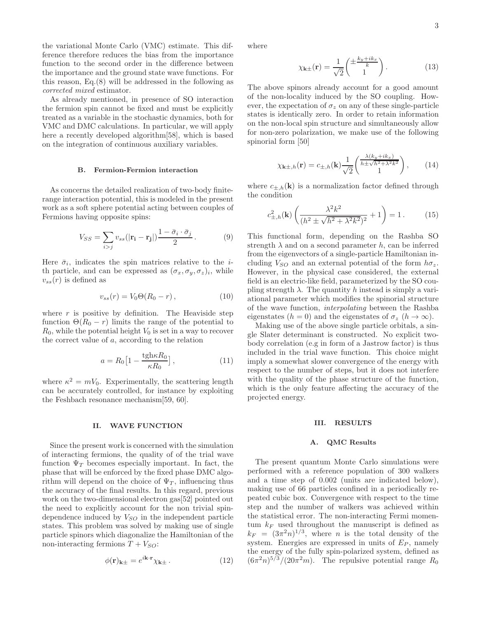the variational Monte Carlo (VMC) estimate. This difference therefore reduces the bias from the importance function to the second order in the difference between the importance and the ground state wave functions. For this reason, Eq.(8) will be addressed in the following as corrected mixed estimator.

As already mentioned, in presence of SO interaction the fermion spin cannot be fixed and must be explicitly treated as a variable in the stochastic dynamics, both for VMC and DMC calculations. In particular, we will apply here a recently developed algorithm[58], which is based on the integration of continuous auxiliary variables.

#### B. Fermion-Fermion interaction

As concerns the detailed realization of two-body finiterange interaction potential, this is modeled in the present work as a soft sphere potential acting between couples of Fermions having opposite spins:

$$
V_{SS} = \sum_{i>j} v_{ss} (|\mathbf{r_i} - \mathbf{r_j}|) \frac{1 - \bar{\sigma}_i \cdot \bar{\sigma}_j}{2}.
$$
 (9)

Here  $\bar{\sigma}_i$ , indicates the spin matrices relative to the *i*th particle, and can be expressed as  $(\sigma_x, \sigma_y, \sigma_z)_i$ , while  $v_{ss}(r)$  is defined as

$$
v_{ss}(r) = V_0 \Theta(R_0 - r), \qquad (10)
$$

where  $r$  is positive by definition. The Heaviside step function  $\Theta(R_0 - r)$  limits the range of the potential to  $R_0$ , while the potential height  $V_0$  is set in a way to recover the correct value of a, according to the relation

$$
a = R_0 \left[ 1 - \frac{\text{tgh}\kappa R_0}{\kappa R_0} \right],\tag{11}
$$

where  $\kappa^2 = mV_0$ . Experimentally, the scattering length can be accurately controlled, for instance by exploiting the Feshbach resonance mechanism[59, 60].

#### II. WAVE FUNCTION

Since the present work is concerned with the simulation of interacting fermions, the quality of of the trial wave function  $\Psi_T$  becomes especially important. In fact, the phase that will be enforced by the fixed phase DMC algorithm will depend on the choice of  $\Psi_T$ , influencing thus the accuracy of the final results. In this regard, previous work on the two-dimensional electron gas[52] pointed out the need to explicitly account for the non trivial spindependence induced by  $V_{SO}$  in the independent particle states. This problem was solved by making use of single particle spinors which diagonalize the Hamiltonian of the non-interacting fermions  $T + V_{SO}$ :

$$
\phi(\mathbf{r})_{\mathbf{k}\pm} = e^{i\mathbf{k}\cdot\mathbf{r}} \chi_{\mathbf{k}\pm} \,. \tag{12}
$$

where

$$
\chi_{\mathbf{k}\pm}(\mathbf{r}) = \frac{1}{\sqrt{2}} \begin{pmatrix} \pm \frac{k_y + ik_x}{k} \\ 1 \end{pmatrix} . \tag{13}
$$

The above spinors already account for a good amount of the non-locality induced by the SO coupling. However, the expectation of  $\sigma_z$  on any of these single-particle states is identically zero. In order to retain information on the non-local spin structure and simultaneously allow for non-zero polarization, we make use of the following spinorial form [50]

$$
\chi_{\mathbf{k}\pm,h}(\mathbf{r}) = c_{\pm,h}(\mathbf{k}) \frac{1}{\sqrt{2}} \begin{pmatrix} \frac{\lambda(k_y+ik_x)}{h \pm \sqrt{h^2 + \lambda^2 k^2}} \\ 1 \end{pmatrix},\qquad(14)
$$

where  $c_{\pm,h}(\mathbf{k})$  is a normalization factor defined through the condition

$$
c_{\pm,h}^2(\mathbf{k}) \left( \frac{\lambda^2 k^2}{(h^2 \pm \sqrt{h^2 + \lambda^2 k^2})^2} + 1 \right) = 1. \tag{15}
$$

This functional form, depending on the Rashba SO strength  $\lambda$  and on a second parameter h, can be inferred from the eigenvectors of a single-particle Hamiltonian including  $V_{SO}$  and an external potential of the form  $h\sigma_z$ . However, in the physical case considered, the external field is an electric-like field, parameterized by the SO coupling strength  $\lambda$ . The quantity h instead is simply a variational parameter which modifies the spinorial structure of the wave function, interpolating between the Rashba eigenstates ( $h = 0$ ) and the eigenstates of  $\sigma_z$  ( $h \to \infty$ ).

Making use of the above single particle orbitals, a single Slater determinant is constructed. No explicit twobody correlation (e.g in form of a Jastrow factor) is thus included in the trial wave function. This choice might imply a somewhat slower convergence of the energy with respect to the number of steps, but it does not interfere with the quality of the phase structure of the function, which is the only feature affecting the accuracy of the projected energy.

#### III. RESULTS

#### A. QMC Results

The present quantum Monte Carlo simulations were performed with a reference population of 300 walkers and a time step of 0.002 (units are indicated below), making use of 66 particles confined in a periodically repeated cubic box. Convergence with respect to the time step and the number of walkers was achieved within the statistical error. The non-interacting Fermi momentum  $k_F$  used throughout the manuscript is defined as  $k_F = (3\pi^2 n)^{1/3}$ , where *n* is the total density of the system. Energies are expressed in units of  $E_P$ , namely the energy of the fully spin-polarized system, defined as  $(6\pi^2 n)^{5/3}/(20\pi^2 m)$ . The repulsive potential range  $R_0$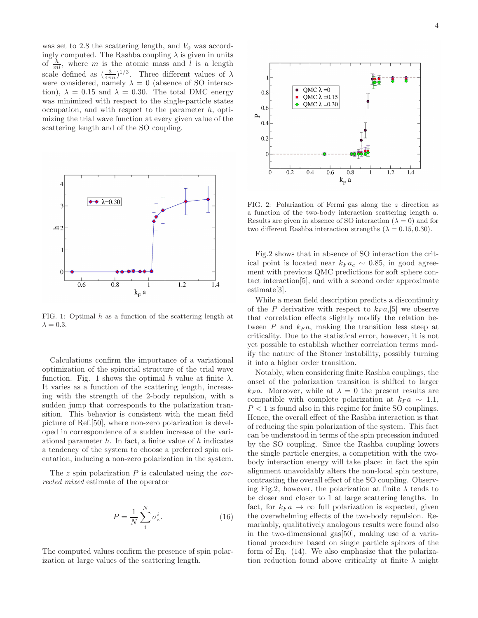was set to 2.8 the scattering length, and  $V_0$  was accordingly computed. The Rashba coupling  $\lambda$  is given in units of  $\frac{\hbar}{ml}$ , where m is the atomic mass and l is a length scale defined as  $(\frac{3}{4\pi n})^{1/3}$ . Three different values of  $\lambda$ were considered, namely  $\lambda = 0$  (absence of SO interaction),  $\lambda = 0.15$  and  $\lambda = 0.30$ . The total DMC energy was minimized with respect to the single-particle states occupation, and with respect to the parameter  $h$ , optimizing the trial wave function at every given value of the scattering length and of the SO coupling.



FIG. 1: Optimal h as a function of the scattering length at  $\lambda = 0.3$ .

Calculations confirm the importance of a variational optimization of the spinorial structure of the trial wave function. Fig. 1 shows the optimal h value at finite  $\lambda$ . It varies as a function of the scattering length, increasing with the strength of the 2-body repulsion, with a sudden jump that corresponds to the polarization transition. This behavior is consistent with the mean field picture of Ref.[50], where non-zero polarization is developed in correspondence of a sudden increase of the variational parameter  $h$ . In fact, a finite value of  $h$  indicates a tendency of the system to choose a preferred spin orientation, inducing a non-zero polarization in the system.

The  $z$  spin polarization  $P$  is calculated using the *cor*rected mixed estimate of the operator

$$
P = \frac{1}{N} \sum_{i}^{N} \sigma_z^i.
$$
 (16)

The computed values confirm the presence of spin polarization at large values of the scattering length.



FIG. 2: Polarization of Fermi gas along the z direction as a function of the two-body interaction scattering length a. Results are given in absence of SO interaction ( $\lambda = 0$ ) and for two different Rashba interaction strengths  $(\lambda = 0.15, 0.30)$ .

Fig.2 shows that in absence of SO interaction the critical point is located near  $k_F a_c \sim 0.85$ , in good agreement with previous QMC predictions for soft sphere contact interaction[5], and with a second order approximate estimate[3].

While a mean field description predicts a discontinuity of the P derivative with respect to  $k_F a$ , [5] we observe that correlation effects slightly modify the relation between P and  $k_F a$ , making the transition less steep at criticality. Due to the statistical error, however, it is not yet possible to establish whether correlation terms modify the nature of the Stoner instability, possibly turning it into a higher order transition.

Notably, when considering finite Rashba couplings, the onset of the polarization transition is shifted to larger  $k_F a$ . Moreover, while at  $\lambda = 0$  the present results are compatible with complete polarization at  $k_F a \sim 1.1$ ,  $P < 1$  is found also in this regime for finite SO couplings. Hence, the overall effect of the Rashba interaction is that of reducing the spin polarization of the system. This fact can be understood in terms of the spin precession induced by the SO coupling. Since the Rashba coupling lowers the single particle energies, a competition with the twobody interaction energy will take place: in fact the spin alignment unavoidably alters the non-local spin texture, contrasting the overall effect of the SO coupling. Observing Fig.2, however, the polarization at finite  $\lambda$  tends to be closer and closer to 1 at large scattering lengths. In fact, for  $k_F a \rightarrow \infty$  full polarization is expected, given the overwhelming effects of the two-body repulsion. Remarkably, qualitatively analogous results were found also in the two-dimensional gas[50], making use of a variational procedure based on single particle spinors of the form of Eq. (14). We also emphasize that the polarization reduction found above criticality at finite  $\lambda$  might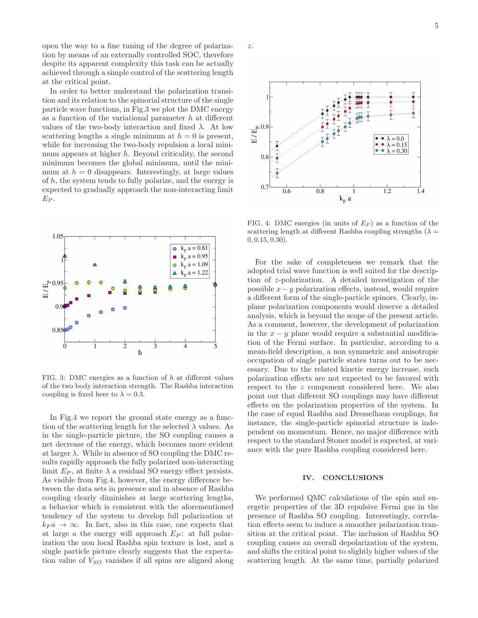open the way to a fine tuning of the degree of polarization by means of an externally controlled SOC, therefore despite its apparent complexity this task can be actually achieved through a simple control of the scattering length at the critical point.

In order to better understand the polarization transition and its relation to the spinorial structure of the single particle wave functions, in Fig.3 we plot the DMC energy as a function of the variational parameter  $h$  at different values of the two-body interaction and fixed  $\lambda$ . At low scattering lengths a single minimum at  $h = 0$  is present, while for increasing the two-body repulsion a local minimum appears at higher h. Beyond criticality, the second minimum becomes the global minimum, until the minimum at  $h = 0$  disappears. Interestingly, at large values of  $h$ , the system tends to fully polarize, and the energy is expected to gradually approach the non-interacting limit  $E_P$ .



FIG. 3: DMC energies as a function of h at different values of the two body interaction strength. The Rashba interaction coupling is fixed here to  $\lambda = 0.3$ .

In Fig.4 we report the ground state energy as a function of the scattering length for the selected  $\lambda$  values. As in the single-particle picture, the SO coupling causes a net decrease of the energy, which becomes more evident at larger  $\lambda$ . While in absence of SO coupling the DMC results rapidly approach the fully polarized non-interacting limit  $E_P$ , at finite  $\lambda$  a residual SO energy effect persists. As visible from Fig.4, however, the energy difference between the data sets in presence and in absence of Rashba coupling clearly diminishes at large scattering lengths, a behavior which is consistent with the aforementioned tendency of the system to develop full polarization at  $k_F a \rightarrow \infty$ . In fact, also in this case, one expects that at large a the energy will approach  $E_P$ : at full polarization the non local Rashba spin texture is lost, and a single particle picture clearly suggests that the expectation value of  $V_{SO}$  vanishes if all spins are aligned along

z.



FIG. 4: DMC energies (in units of  $E_P$ ) as a function of the scattering length at different Rashba coupling strengths ( $\lambda =$ 0, 0.15, 0.30).

For the sake of completeness we remark that the adopted trial wave function is well suited for the description of z-polarization. A detailed investigation of the possible  $x - y$  polarization effects, instead, would require a different form of the single-particle spinors. Clearly, inplane polarization components would deserve a detailed analysis, which is beyond the scope of the present article. As a comment, however, the development of polarization in the  $x - y$  plane would require a substantial modification of the Fermi surface. In particular, according to a mean-field description, a non symmetric and anisotropic occupation of single particle states turns out to be necessary. Due to the related kinetic energy increase, such polarization effects are not expected to be favored with respect to the z component considered here. We also point out that different SO couplings may have different effects on the polarization properties of the system. In the case of equal Rashba and Dresselhaus couplings, for instance, the single-particle spinorial structure is independent on momentum. Hence, no major difference with respect to the standard Stoner model is expected, at variance with the pure Rashba coupling considered here.

#### IV. CONCLUSIONS

We performed QMC calculations of the spin and energetic properties of the 3D repulsive Fermi gas in the presence of Rashba SO coupling. Interestingly, correlation effects seem to induce a smoother polarization transition at the critical point. The inclusion of Rashba SO coupling causes an overall depolarization of the system, and shifts the critical point to slightly higher values of the scattering length. At the same time, partially polarized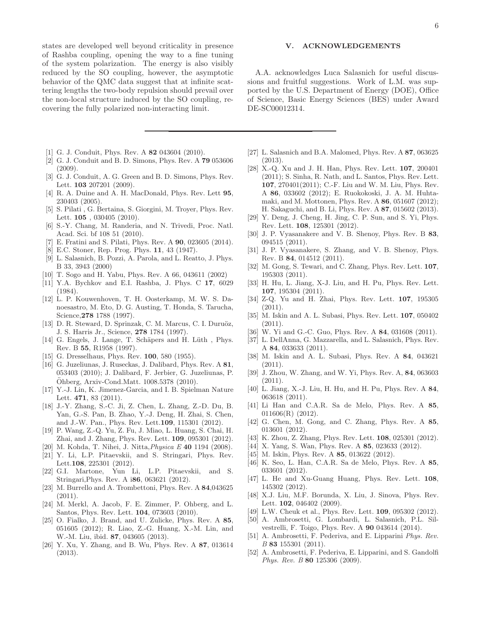states are developed well beyond criticality in presence of Rashba coupling, opening the way to a fine tuning of the system polarization. The energy is also visibly reduced by the SO coupling, however, the asymptotic behavior of the QMC data suggest that at infinite scattering lengths the two-body repulsion should prevail over the non-local structure induced by the SO coupling, recovering the fully polarized non-interacting limit.

- [1] G. J. Conduit, Phys. Rev. A 82 043604 (2010).
- [2] G. J. Conduit and B. D. Simons, Phys. Rev. A 79 053606 (2009).
- [3] G. J. Conduit, A. G. Green and B. D. Simons, Phys. Rev. Lett. 103 207201 (2009).
- [4] R. A. Duine and A. H. MacDonald, Phys. Rev. Lett  $95$ , 230403 (2005).
- [5] S. Pilati , G. Bertaina, S. Giorgini, M. Troyer, Phys. Rev. Lett. **105**, 030405 (2010).
- [6] S.-Y. Chang, M. Randeria, and N. Trivedi, Proc. Natl. Acad. Sci. bf 108 51 (2010).
- [7] E. Fratini and S. Pilati, Phys. Rev. A 90, 023605 (2014).
- [8] E.C. Stoner, Rep. Prog. Phys. 11, 43 (1947).
- [9] L. Salasnich, B. Pozzi, A. Parola, and L. Reatto, J. Phys. B 33, 3943 (2000)
- [10] T. Sogo and H. Yabu, Phys. Rev. A 66, 043611 (2002)
- [11] Y.A. Bychkov and E.I. Rashba, J. Phys. C 17, 6029 (1984).
- [12] L. P. Kouwenhoven, T. H. Oosterkamp, M. W. S. Danoesastro, M. Eto, D. G. Austing, T. Honda, S. Tarucha, Science,278 1788 (1997).
- [13] D. R. Steward, D. Sprinzak, C. M. Marcus, C. I. Duruöz, J. S. Harris Jr., Science, 278 1784 (1997).
- [14] G. Engels, J. Lange, T. Schäpers and H. Lüth, Phys. Rev. B 55, R1958 (1997).
- [15] G. Dresselhaus, Phys. Rev. **100**, 580 (1955).
- [16] G. Juzeliunas, J. Ruseckas, J. Dalibard, Phys. Rev. A 81, 053403 (2010); J. Dalibard, F. Jerbier, G. Juzeliunas, P. Ohberg, Arxiv-Cond.Matt. 1008.5378 (2010). ¨
- [17] Y.-J. Lin, K. Jimenez-Garcia, and I. B. Spielman Nature Lett. 471, 83 (2011).
- [18] J.-Y. Zhang, S.-C. Ji, Z. Chen, L. Zhang, Z.-D. Du, B. Yan, G.-S. Pan, B. Zhao, Y.-J. Deng, H. Zhai, S. Chen, and J.-W. Pan., Phys. Rev. Lett.109, 115301 (2012).
- [19] P. Wang, Z.-Q. Yu, Z. Fu, J. Miao, L. Huang, S. Chai, H. Zhai, and J. Zhang, Phys. Rev. Lett. 109, 095301 (2012).
- [20] M. Kohda, T. Nihei, J. Nitta, *Physica E* **40** 1194 (2008).
- [21] Y. Li, L.P. Pitaevskii, and S. Stringari, Phys. Rev. Lett.108, 225301 (2012).
- [22] G.I. Martone, Yun Li, L.P. Pitaevskii, and S. Stringari,Phys. Rev. A i86, 063621 (2012).
- [23] M. Burrello and A. Trombettoni, Phys. Rev. A 84,043625  $(2011).$
- [24] M. Merkl, A. Jacob, F. E. Zimmer, P. Ohberg, and L. Santos, Phys. Rev. Lett. 104, 073603 (2010).
- [25] O. Fialko, J. Brand, and U. Zulicke, Phys. Rev. A 85, 051605 (2012); R. Liao, Z.-G. Huang, X.-M. Lin, and W.-M. Liu, ibid. 87, 043605 (2013).
- [26] Y. Xu, Y. Zhang, and B. Wu, Phys. Rev. A 87, 013614 (2013).

#### V. ACKNOWLEDGEMENTS

A.A. acknowledges Luca Salasnich for useful discussions and fruitful suggestions. Work of L.M. was supported by the U.S. Department of Energy (DOE), Office of Science, Basic Energy Sciences (BES) under Award DE-SC00012314.

- [27] L. Salasnich and B.A. Malomed, Phys. Rev. A 87, 063625 (2013).
- [28] X.-Q. Xu and J. H. Han, Phys. Rev. Lett. 107, 200401 (2011); S. Sinha, R. Nath, and L. Santos, Phys. Rev. Lett. 107, 270401(2011); C.-F. Liu and W. M. Liu, Phys. Rev. A 86, 033602 (2012); E. Ruokokoski, J. A. M. Huhtamaki, and M. Mottonen, Phys. Rev. A 86, 051607 (2012); H. Sakaguchi, and B. Li, Phys. Rev. A 87, 015602 (2013).
- [29] Y. Deng, J. Cheng, H. Jing, C. P. Sun, and S. Yi, Phys. Rev. Lett. 108, 125301 (2012).
- [30] J. P. Vyasanakere and V. B. Shenoy, Phys. Rev. B 83, 094515 (2011).
- [31] J. P. Vyasanakere, S. Zhang, and V. B. Shenoy, Phys. Rev. B 84, 014512 (2011).
- [32] M. Gong, S. Tewari, and C. Zhang, Phys. Rev. Lett. **107**, 195303 (2011).
- [33] H. Hu, L. Jiang, X-J. Liu, and H. Pu, Phys. Rev. Lett. 107, 195304 (2011).
- [34] Z-Q. Yu and H. Zhai, Phys. Rev. Lett. 107, 195305 (2011).
- [35] M. Iskin and A. L. Subasi, Phys. Rev. Lett. 107, 050402  $(2011).$
- [36] W. Yi and G.-C. Guo, Phys. Rev. A 84, 031608 (2011).
- [37] L. DellAnna, G. Mazzarella, and L. Salasnich, Phys. Rev. A 84, 033633 (2011).
- [38] M. Iskin and A. L. Subasi, Phys. Rev. A 84, 043621  $(2011).$
- [39] J. Zhou, W. Zhang, and W. Yi, Phys. Rev. A, 84, 063603 (2011).
- [40] L. Jiang, X.-J. Liu, H. Hu, and H. Pu, Phys. Rev. A 84, 063618 (2011).
- [41] Li Han and C.A.R. Sa de Melo, Phys. Rev. A 85, 011606(R) (2012).
- [42] G. Chen, M. Gong, and C. Zhang, Phys. Rev. A 85, 013601 (2012).
- [43] K. Zhou, Z. Zhang, Phys. Rev. Lett. 108, 025301 (2012).
- [44] X. Yang, S. Wan, Phys. Rev. A **85**, 023633 (2012).
- [45] M. Iskin, Phys. Rev. A **85**, 013622 (2012).
- [46] K. Seo, L. Han, C.A.R. Sa de Melo, Phys. Rev. A 85, 033601 (2012).
- [47] L. He and Xu-Guang Huang, Phys. Rev. Lett. 108, 145302 (2012).
- [48] X.J. Liu, M.F. Borunda, X. Liu, J. Sinova, Phys. Rev. Lett. **102**, 046402 (2009).
- [49] L.W. Cheuk et al., Phys. Rev. Lett. **109**, 095302 (2012).
- [50] A. Ambrosetti, G. Lombardi, L. Salasnich, P.L. Silvestrelli, F. Toigo, Phys. Rev. A 90 043614 (2014).
- [51] A. Ambrosetti, F. Pederiva, and E. Lipparini Phys. Rev. B 83 155301 (2011).
- [52] A. Ambrosetti, F. Pederiva, E. Lipparini, and S. Gandolfi Phys. Rev. B 80 125306 (2009).